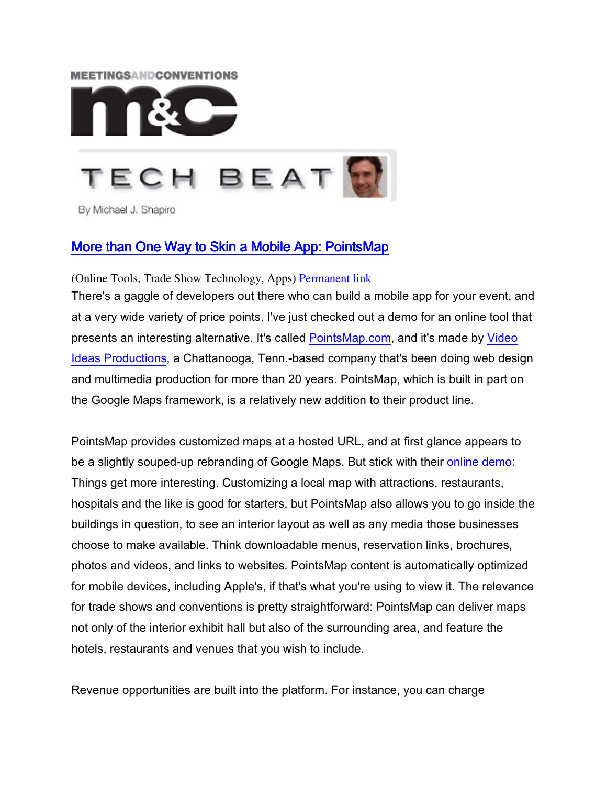## **MEETINGSANDCONVENTIONS**



By Michael J. Shapiro

## More than One Way to Skin a Mobile App: PointsMap

(Online Tools, Trade Show Technology, Apps) Permanent link

There's a gaggle of developers out there who can build a mobile app for your event, and at a very wide variety of price points. I've just checked out a demo for an online tool that presents an interesting alternative. It's called PointsMap.com, and it's made by Video Ideas Productions, a Chattanooga, Tenn.-based company that's been doing web design and multimedia production for more than 20 years. PointsMap, which is built in part on the Google Maps framework, is a relatively new addition to their product line.

PointsMap provides customized maps at a hosted URL, and at first glance appears to be a slightly souped-up rebranding of Google Maps. But stick with their online demo: Things get more interesting. Customizing a local map with attractions, restaurants, hospitals and the like is good for starters, but PointsMap also allows you to go inside the buildings in question, to see an interior layout as well as any media those businesses choose to make available. Think downloadable menus, reservation links, brochures, photos and videos, and links to websites. PointsMap content is automatically optimized for mobile devices, including Apple's, if that's what you're using to view it. The relevance for trade shows and conventions is pretty straightforward: PointsMap can deliver maps not only of the interior exhibit hall but also of the surrounding area, and feature the hotels, restaurants and venues that you wish to include.

Revenue opportunities are built into the platform. For instance, you can charge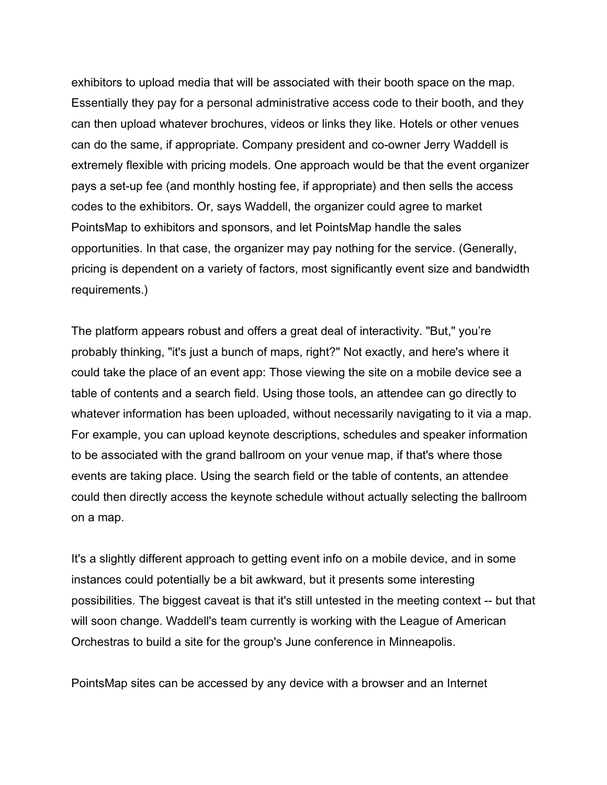exhibitors to upload media that will be associated with their booth space on the map. Essentially they pay for a personal administrative access code to their booth, and they can then upload whatever brochures, videos or links they like. Hotels or other venues can do the same, if appropriate. Company president and co-owner Jerry Waddell is extremely flexible with pricing models. One approach would be that the event organizer pays a set-up fee (and monthly hosting fee, if appropriate) and then sells the access codes to the exhibitors. Or, says Waddell, the organizer could agree to market PointsMap to exhibitors and sponsors, and let PointsMap handle the sales opportunities. In that case, the organizer may pay nothing for the service. (Generally, pricing is dependent on a variety of factors, most significantly event size and bandwidth requirements.)

The platform appears robust and offers a great deal of interactivity. "But," you're probably thinking, "it's just a bunch of maps, right?" Not exactly, and here's where it could take the place of an event app: Those viewing the site on a mobile device see a table of contents and a search field. Using those tools, an attendee can go directly to whatever information has been uploaded, without necessarily navigating to it via a map. For example, you can upload keynote descriptions, schedules and speaker information to be associated with the grand ballroom on your venue map, if that's where those events are taking place. Using the search field or the table of contents, an attendee could then directly access the keynote schedule without actually selecting the ballroom on a map.

It's a slightly different approach to getting event info on a mobile device, and in some instances could potentially be a bit awkward, but it presents some interesting possibilities. The biggest caveat is that it's still untested in the meeting context -- but that will soon change. Waddell's team currently is working with the League of American Orchestras to build a site for the group's June conference in Minneapolis.

PointsMap sites can be accessed by any device with a browser and an Internet